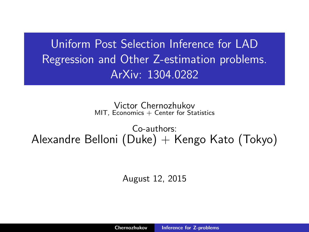<span id="page-0-0"></span>Uniform Post Selection Inference for LAD Regression and Other Z-estimation problems. ArXiv: 1304.0282

> Victor Chernozhukov  $MIT$ , Economics  $+$  Center for Statistics

Co-authors: Alexandre Belloni (Duke)  $+$  Kengo Kato (Tokyo)

August 12, 2015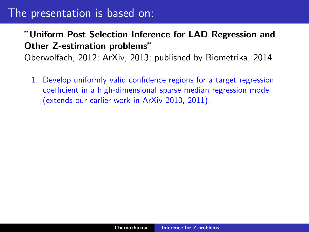#### "Uniform Post Selection Inference for LAD Regression and Other Z-estimation problems"

Oberwolfach, 2012; ArXiv, 2013; published by Biometrika, 2014

1. Develop uniformly valid confidence regions for a target regression coefficient in a high-dimensional sparse median regression model (extends our earlier work in ArXiv 2010, 2011).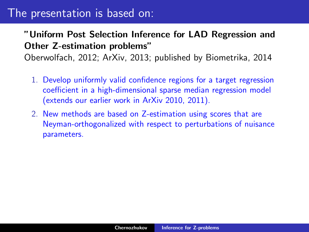#### "Uniform Post Selection Inference for LAD Regression and Other Z-estimation problems"

Oberwolfach, 2012; ArXiv, 2013; published by Biometrika, 2014

- 1. Develop uniformly valid confidence regions for a target regression coefficient in a high-dimensional sparse median regression model (extends our earlier work in ArXiv 2010, 2011).
- 2. New methods are based on Z-estimation using scores that are Neyman-orthogonalized with respect to perturbations of nuisance parameters.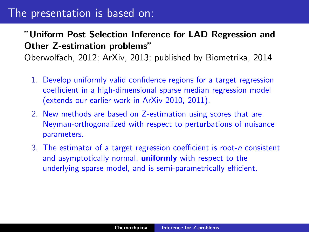#### "Uniform Post Selection Inference for LAD Regression and Other Z-estimation problems"

Oberwolfach, 2012; ArXiv, 2013; published by Biometrika, 2014

- 1. Develop uniformly valid confidence regions for a target regression coefficient in a high-dimensional sparse median regression model (extends our earlier work in ArXiv 2010, 2011).
- 2. New methods are based on Z-estimation using scores that are Neyman-orthogonalized with respect to perturbations of nuisance parameters.
- 3. The estimator of a target regression coefficient is root-n consistent and asymptotically normal, **uniformly** with respect to the underlying sparse model, and is semi-parametrically efficient.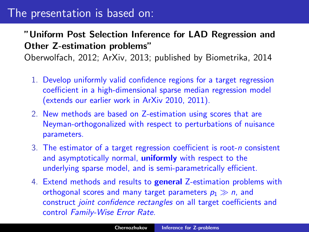#### "Uniform Post Selection Inference for LAD Regression and Other Z-estimation problems"

Oberwolfach, 2012; ArXiv, 2013; published by Biometrika, 2014

- 1. Develop uniformly valid confidence regions for a target regression coefficient in a high-dimensional sparse median regression model (extends our earlier work in ArXiv 2010, 2011).
- 2. New methods are based on Z-estimation using scores that are Neyman-orthogonalized with respect to perturbations of nuisance parameters.
- 3. The estimator of a target regression coefficient is root-n consistent and asymptotically normal, **uniformly** with respect to the underlying sparse model, and is semi-parametrically efficient.
- 4. Extend methods and results to general Z-estimation problems with orthogonal scores and many target parameters  $p_1 \gg n$ , and construct joint confidence rectangles on all target coefficients and control Family-Wise Error Rate.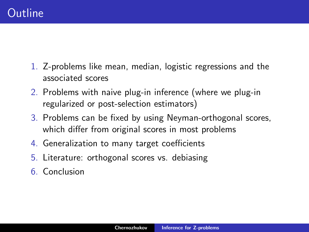- 1. Z-problems like mean, median, logistic regressions and the associated scores
- 2. Problems with naive plug-in inference (where we plug-in regularized or post-selection estimators)
- 3. Problems can be fixed by using Neyman-orthogonal scores, which differ from original scores in most problems
- 4. Generalization to many target coefficients
- 5. Literature: orthogonal scores vs. debiasing
- 6. Conclusion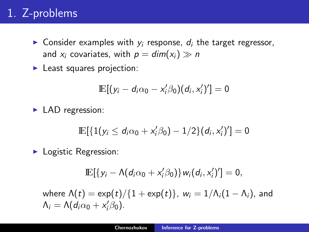# 1. Z-problems

- **Consider examples with y** response,  $d_i$  the target regressor, and  $x_i$  covariates, with  $p = dim(x_i) \gg n$
- $\blacktriangleright$  Least squares projection:

$$
\mathbb{E}[(y_i - d_i\alpha_0 - x_i'\beta_0)(d_i, x_i')'] = 0
$$

 $\blacktriangleright$  LAD regression:

$$
\mathbb{E}[\{1(y_i \leq d_i \alpha_0 + x_i'\beta_0) - 1/2\}(d_i, x_i')'] = 0
$$

 $\blacktriangleright$  Logistic Regression:

$$
\mathbb{E}[\{y_i - \Lambda(d_i\alpha_0 + x_i'\beta_0)\}w_i(d_i,x_i')'] = 0,
$$

where  $\Lambda(t) = \exp(t)/\{1 + \exp(t)\}\$ ,  $w_i = 1/\Lambda_i(1 - \Lambda_i)$ , and  $\Lambda_i = \Lambda (d_i \alpha_0 + x'_i \beta_0).$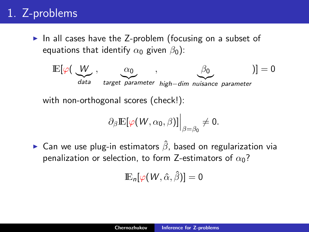# 1. Z-problems

In all cases have the Z-problem (focusing on a subset of equations that identify  $\alpha_0$  given  $\beta_0$ ):



with non-orthogonal scores (check!):

$$
\partial_{\beta} \mathbb{E}[\varphi(W,\alpha_0,\beta)]\Big|_{\beta=\beta_0} \neq 0.
$$

► Can we use plug-in estimators  $\hat{\beta}$ , based on regularization via penalization or selection, to form Z-estimators of  $\alpha_0$ ?

$$
\mathop{\mathrm{I\!E}}\nolimits_n[\varphi(W, \hat \alpha, \hat \beta)] = 0
$$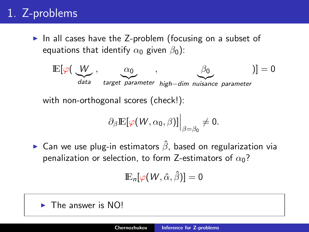# 1. Z-problems

In all cases have the Z-problem (focusing on a subset of equations that identify  $\alpha_0$  given  $\beta_0$ ):



with non-orthogonal scores (check!):

$$
\partial_{\beta} \mathbb{E}[\varphi(W,\alpha_0,\beta)]\Big|_{\beta=\beta_0} \neq 0.
$$

► Can we use plug-in estimators  $\hat{\beta}$ , based on regularization via penalization or selection, to form Z-estimators of  $\alpha_0$ ?

$$
\mathop{\mathrm{I\!E}}\nolimits_n[\varphi(W, \hat \alpha, \hat \beta)] = 0
$$

 $\blacktriangleright$  The answer is NO!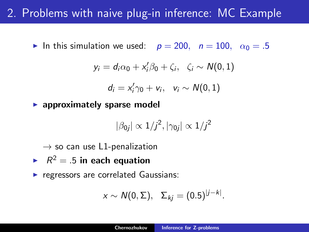## 2. Problems with naive plug-in inference: MC Example

In this simulation we used:  $p = 200$ ,  $n = 100$ ,  $\alpha_0 = .5$ 

$$
y_i = d_i \alpha_0 + x'_i \beta_0 + \zeta_i, \quad \zeta_i \sim N(0,1)
$$

$$
d_i=x_i'\gamma_0+v_i,\ \ v_i\sim N(0,1)
$$

 $\blacktriangleright$  approximately sparse model

$$
|\beta_{0j}| \propto 1/j^2, |\gamma_{0j}| \propto 1/j^2
$$

 $\rightarrow$  so can use L1-penalization

- $R^2 = .5$  in each equation
- $\blacktriangleright$  regressors are correlated Gaussians:

$$
x \sim N(0, \Sigma), \quad \Sigma_{kj} = (0.5)^{|j-k|}.
$$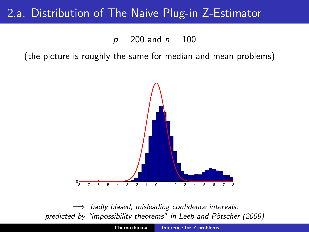### 2.a. Distribution of The Naive Plug-in Z-Estimator

 $p = 200$  and  $n = 100$ 

(the picture is roughly the same for median and mean problems)



 $\implies$  badly biased, misleading confidence intervals; predicted by "impossibility theorems" in Leeb and Pötscher (2009)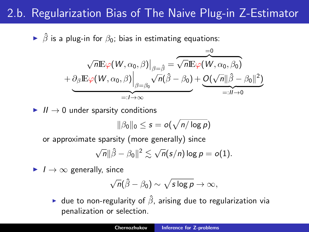## 2.b. Regularization Bias of The Naive Plug-in Z-Estimator

 $\triangleright$   $\hat{\beta}$  is a plug-in for  $\beta_0$ ; bias in estimating equations:

$$
\nabla \overline{n} \mathbb{E} \varphi(W, \alpha_0, \beta) \Big|_{\beta = \hat{\beta}} = \overbrace{\sqrt{n} \mathbb{E} \varphi(W, \alpha_0, \beta_0)}^{\varphi = 0}
$$
  
+ 
$$
\underbrace{\partial_{\beta} \mathbb{E} \varphi(W, \alpha_0, \beta)}_{=: I \to \infty} \Big|_{\beta = \beta_0} \sqrt{n} (\hat{\beta} - \beta_0) + \underbrace{O(\sqrt{n} || \hat{\beta} - \beta_0 ||^2)}_{=: I \to 0}
$$

 $\blacktriangleright$  II  $\rightarrow$  0 under sparsity conditions

$$
\|\beta_0\|_0 \leq s = o(\sqrt{n/\log p})
$$

or approximate sparsity (more generally) since

$$
\sqrt{n}||\hat{\beta}-\beta_0||^2 \lesssim \sqrt{n}(s/n)\log p = o(1).
$$

 $\blacktriangleright$   $I \rightarrow \infty$  generally, since

$$
\sqrt{n}(\hat{\beta}-\beta_0)\sim \sqrt{s\log p}\to \infty,
$$

**If** due to non-regularity of  $\hat{\beta}$ , arising due to regularization via penalization or selection.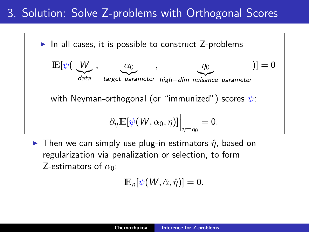## 3. Solution: Solve Z-problems with Orthogonal Scores



**IF** Then we can simply use plug-in estimators  $\hat{\eta}$ , based on regularization via penalization or selection, to form Z-estimators of  $\alpha_0$ :

 $\mathbb{E}_n[\psi(W, \check{\alpha}, \hat{\eta})] = 0.$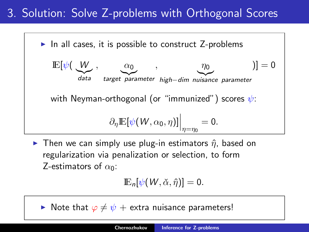## 3. Solution: Solve Z-problems with Orthogonal Scores



**IF** Then we can simply use plug-in estimators  $\hat{\eta}$ , based on regularization via penalization or selection, to form Z-estimators of  $\alpha_0$ :

$$
\mathbb{E}_n[\psi(W,\check{\alpha},\hat{\eta})]=0.
$$

 $\triangleright$  Note that  $\varphi \neq \psi$  + extra nuisance parameters!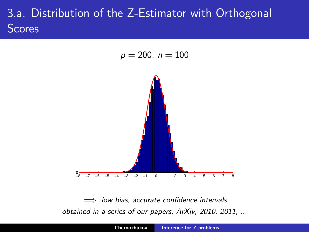# 3.a. Distribution of the Z-Estimator with Orthogonal **Scores**

$$
p=200, n=100
$$



 $\implies$  low bias, accurate confidence intervals obtained in a series of our papers, ArXiv, 2010, 2011, ...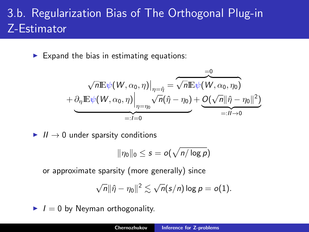# 3.b. Regularization Bias of The Orthogonal Plug-in Z-Estimator

 $\blacktriangleright$  Expand the bias in estimating equations:

$$
\sqrt{n} \mathbb{E} \psi(W, \alpha_0, \eta) \Big|_{\eta = \hat{\eta}} = \overbrace{\sqrt{n} \mathbb{E} \psi(W, \alpha_0, \eta_0)}^{\text{=0}} + \underbrace{\partial_\eta \mathbb{E} \psi(W, \alpha_0, \eta_0)}^{\text{=0}} + \underbrace{\partial_\eta \mathbb{E} \psi(W, \alpha_0, \eta_0)}^{\text{=0}} \Big|_{\eta = \eta_0}^{\text{=0}} + \underbrace{\mathcal{O}(\sqrt{n} \|\hat{\eta} - \eta_0\|^2)}^{\text{=0}} = \overbrace{\mathbb{E} \mathbb{E} \mathbb{E} \psi(W, \alpha_0, \eta_0)}^{\text{=0}}
$$

 $\blacktriangleright$   $II \rightarrow 0$  under sparsity conditions

$$
\|\eta_0\|_0 \leq s = o(\sqrt{n/\log p})
$$

or approximate sparsity (more generally) since

$$
\sqrt{n}\|\hat{\eta}-\eta_0\|^2\lesssim \sqrt{n}(s/n)\log p=o(1).
$$

 $I = 0$  by Neyman orthogonality.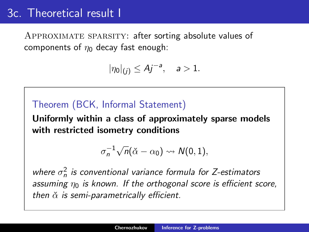### 3c. Theoretical result I

Approximate sparsity: after sorting absolute values of components of  $\eta_0$  decay fast enough:

$$
|\eta_0|_{(j)} \leq Aj^{-a}, \quad a > 1.
$$

#### Theorem (BCK, Informal Statement)

Uniformly within a class of approximately sparse models with restricted isometry conditions

$$
\sigma_n^{-1}\sqrt{n}(\check{\alpha}-\alpha_0)\leadsto N(0,1),
$$

where  $\sigma_n^2$  is conventional variance formula for Z-estimators assuming  $\eta_0$  is known. If the orthogonal score is efficient score, then  $\check{\alpha}$  is semi-parametrically efficient.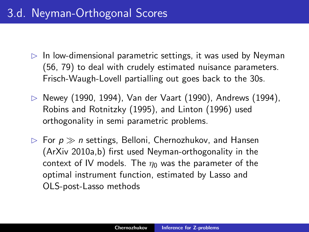- $\triangleright$  In low-dimensional parametric settings, it was used by Neyman (56, 79) to deal with crudely estimated nuisance parameters. Frisch-Waugh-Lovell partialling out goes back to the 30s.
- $\triangleright$  Newey (1990, 1994), Van der Vaart (1990), Andrews (1994), Robins and Rotnitzky (1995), and Linton (1996) used orthogonality in semi parametric problems.
- $\triangleright$  For  $p \gg n$  settings, Belloni, Chernozhukov, and Hansen (ArXiv 2010a,b) first used Neyman-orthogonality in the context of IV models. The  $\eta_0$  was the parameter of the optimal instrument function, estimated by Lasso and OLS-post-Lasso methods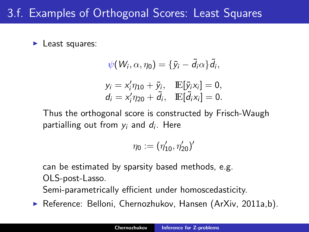## 3.f. Examples of Orthogonal Scores: Least Squares

 $\blacktriangleright$  Least squares:

$$
\psi(W_i, \alpha, \eta_0) = {\tilde{y}_i - \tilde{d}_i \alpha} \tilde{d}_i,
$$
  
\n
$$
y_i = x'_i \eta_{10} + \tilde{y}_i, \quad \mathbb{E}[\tilde{y}_i x_i] = 0,
$$
  
\n
$$
d_i = x'_i \eta_{20} + \tilde{d}_i, \quad \mathbb{E}[\tilde{d}_i x_i] = 0.
$$

Thus the orthogonal score is constructed by Frisch-Waugh partialling out from  $y_i$  and  $d_i$ . Here

$$
\eta_0:=(\eta'_{10},\eta'_{20})'
$$

can be estimated by sparsity based methods, e.g. OLS-post-Lasso.

Semi-parametrically efficient under homoscedasticity.

▶ Reference: Belloni, Chernozhukov, Hansen (ArXiv, 2011a,b).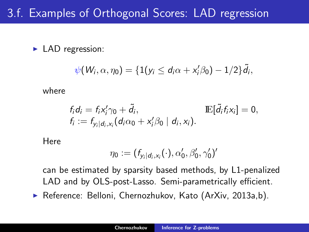## 3.f. Examples of Orthogonal Scores: LAD regression

 $\blacktriangleright$  LAD regression:

$$
\psi(W_i,\alpha,\eta_0)=\{1(y_i\leq d_i\alpha+x_i'\beta_0)-1/2\}\tilde{d}_i,
$$

where

$$
f_i d_i = f_i x'_i \gamma_0 + \tilde{d}_i, \qquad \mathbb{E}[\tilde{d}_i f_i x_i] = 0,
$$
  
\n
$$
f_i := f_{y_i | d_i, x_i}(d_i \alpha_0 + x'_i \beta_0 | d_i, x_i).
$$

Here

$$
\eta_0:=(f_{y_i|d_i,x_i}(\cdot),\alpha_0',\beta_0',\gamma_0')'
$$

can be estimated by sparsity based methods, by L1-penalized LAD and by OLS-post-Lasso. Semi-parametrically efficient.

▶ Reference: Belloni, Chernozhukov, Kato (ArXiv, 2013a,b).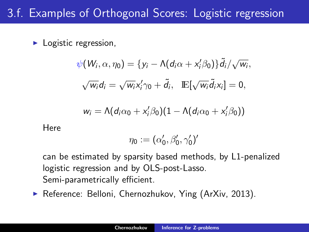## 3.f. Examples of Orthogonal Scores: Logistic regression

 $\blacktriangleright$  Logistic regression,

$$
\psi(W_i, \alpha, \eta_0) = \{y_i - \Lambda(d_i\alpha + x'_i\beta_0)\}\tilde{d}_i/\sqrt{w_i},
$$
  

$$
\sqrt{w_i}d_i = \sqrt{w_i}x'_i\gamma_0 + \tilde{d}_i, \quad \mathbb{E}[\sqrt{w_i}\tilde{d}_i x_i] = 0,
$$
  

$$
w_i = \Lambda(d_i\alpha_0 + x'_i\beta_0)(1 - \Lambda(d_i\alpha_0 + x'_i\beta_0))
$$

**Here** 

$$
\eta_0:=(\alpha_0',\beta_0',\gamma_0')'
$$

can be estimated by sparsity based methods, by L1-penalized logistic regression and by OLS-post-Lasso. Semi-parametrically efficient.

▶ Reference: Belloni, Chernozhukov, Ying (ArXiv, 2013).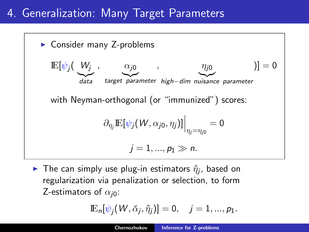## 4. Generalization: Many Target Parameters



 $\blacktriangleright$  The can simply use plug-in estimators  $\hat{\eta}_j$ , based on regularization via penalization or selection, to form Z-estimators of  $\alpha_{i0}$ :

$$
\mathbb{E}_n[\psi_j(W,\check{\alpha}_j,\hat{\eta}_j)] = 0, \quad j = 1,...,p_1.
$$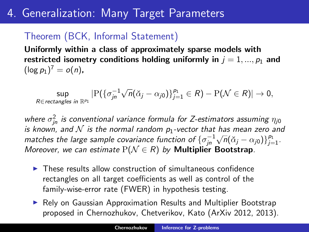## 4. Generalization: Many Target Parameters

#### Theorem (BCK, Informal Statement)

Uniformly within a class of approximately sparse models with restricted isometry conditions holding uniformly in  $j = 1, ..., p_1$  and  $(\log p_1)^7 = o(n)$ ,

 $\sup_{R \in \text{rectangles in } \mathbb{R}^{p_1}} |P(\{\sigma_{jn}^{-1}\})|$  $\sqrt{n}(\check{\alpha}_j - \alpha_{j0})\}_{j=1}^{p_1} \in R$ ) – P $(\mathcal{N} \in R)| \to 0$ ,

where  $\sigma_{jn}^2$  is conventional variance formula for Z-estimators assuming  $\eta_{j0}$ is known, and  $N$  is the normal random  $p_1$ -vector that has mean zero and matches the large sample covariance function of  $\{\sigma_{jn}^{-1}$  $\sqrt{n}(\check{\alpha}_j - \alpha_{j0})\}_{j=1}^{p_1}$ . Moreover, we can estimate  $P(\mathcal{N} \in R)$  by **Multiplier Bootstrap**.

- $\triangleright$  These results allow construction of simultaneous confidence rectangles on all target coefficients as well as control of the family-wise-error rate (FWER) in hypothesis testing.
- $\triangleright$  Rely on Gaussian Approximation Results and Multiplier Bootstrap proposed in Chernozhukov, Chetverikov, Kato (ArXiv 2012, 2013).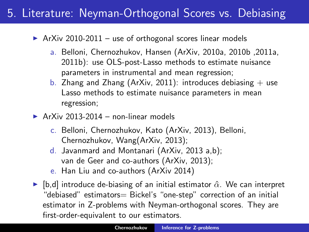## 5. Literature: Neyman-Orthogonal Scores vs. Debiasing

 $\triangleright$  ArXiv 2010-2011 – use of orthogonal scores linear models

- a. Belloni, Chernozhukov, Hansen (ArXiv, 2010a, 2010b ,2011a, 2011b): use OLS-post-Lasso methods to estimate nuisance parameters in instrumental and mean regression;
- b. Zhang and Zhang (ArXiv, 2011): introduces debiasing  $+$  use Lasso methods to estimate nuisance parameters in mean regression;
- $\triangleright$  ArXiv 2013-2014 non-linear models
	- c. Belloni, Chernozhukov, Kato (ArXiv, 2013), Belloni, Chernozhukov, Wang(ArXiv, 2013);
	- d. Javanmard and Montanari (ArXiv, 2013 a,b); van de Geer and co-authors (ArXiv, 2013);
	- e. Han Liu and co-authors (ArXiv 2014)
- $\blacktriangleright$  [b,d] introduce de-biasing of an initial estimator  $\hat{\alpha}$ . We can interpret "debiased" estimators= Bickel's "one-step" correction of an initial estimator in Z-problems with Neyman-orthogonal scores. They are first-order-equivalent to our estimators.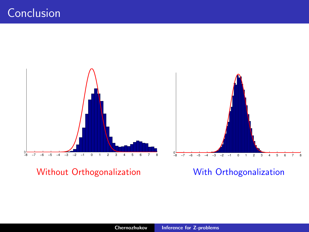

Without Orthogonalization With Orthogonalization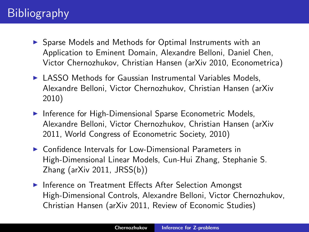# **Bibliography**

- ▶ Sparse Models and Methods for Optimal Instruments with an Application to Eminent Domain, Alexandre Belloni, Daniel Chen, Victor Chernozhukov, Christian Hansen (arXiv 2010, Econometrica)
- $\triangleright$  LASSO Methods for Gaussian Instrumental Variables Models. Alexandre Belloni, Victor Chernozhukov, Christian Hansen (arXiv 2010)
- $\blacktriangleright$  Inference for High-Dimensional Sparse Econometric Models, Alexandre Belloni, Victor Chernozhukov, Christian Hansen (arXiv 2011, World Congress of Econometric Society, 2010)
- $\triangleright$  Confidence Intervals for Low-Dimensional Parameters in High-Dimensional Linear Models, Cun-Hui Zhang, Stephanie S. Zhang (arXiv 2011, JRSS(b))
- **Inference on Treatment Effects After Selection Amongst** High-Dimensional Controls, Alexandre Belloni, Victor Chernozhukov, Christian Hansen (arXiv 2011, Review of Economic Studies)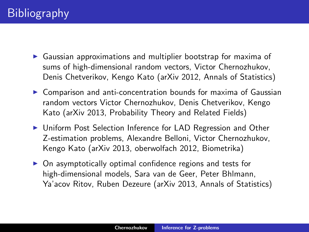- $\triangleright$  Gaussian approximations and multiplier bootstrap for maxima of sums of high-dimensional random vectors, Victor Chernozhukov, Denis Chetverikov, Kengo Kato (arXiv 2012, Annals of Statistics)
- $\triangleright$  Comparison and anti-concentration bounds for maxima of Gaussian random vectors Victor Chernozhukov, Denis Chetverikov, Kengo Kato (arXiv 2013, Probability Theory and Related Fields)
- ▶ Uniform Post Selection Inference for LAD Regression and Other Z-estimation problems, Alexandre Belloni, Victor Chernozhukov, Kengo Kato (arXiv 2013, oberwolfach 2012, Biometrika)
- $\triangleright$  On asymptotically optimal confidence regions and tests for high-dimensional models, Sara van de Geer, Peter Bhlmann, Ya'acov Ritov, Ruben Dezeure (arXiv 2013, Annals of Statistics)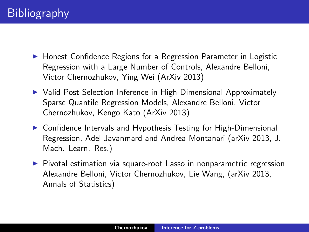- ▶ Honest Confidence Regions for a Regression Parameter in Logistic Regression with a Large Number of Controls, Alexandre Belloni, Victor Chernozhukov, Ying Wei (ArXiv 2013)
- ▶ Valid Post-Selection Inference in High-Dimensional Approximately Sparse Quantile Regression Models, Alexandre Belloni, Victor Chernozhukov, Kengo Kato (ArXiv 2013)
- ▶ Confidence Intervals and Hypothesis Testing for High-Dimensional Regression, Adel Javanmard and Andrea Montanari (arXiv 2013, J. Mach. Learn. Res.)
- $\triangleright$  Pivotal estimation via square-root Lasso in nonparametric regression Alexandre Belloni, Victor Chernozhukov, Lie Wang, (arXiv 2013, Annals of Statistics)